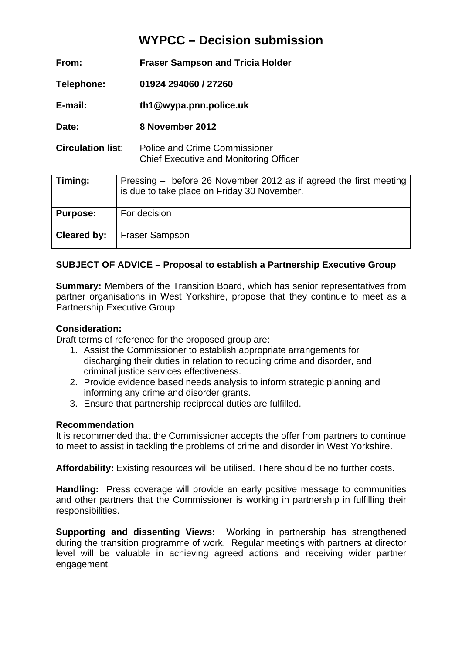# **WYPCC – Decision submission**

| From:                    | <b>Fraser Sampson and Tricia Holder</b>                                        |  |  |
|--------------------------|--------------------------------------------------------------------------------|--|--|
| Telephone:               | 01924 294060 / 27260                                                           |  |  |
| E-mail:                  | th1@wypa.pnn.police.uk                                                         |  |  |
| Date:                    | 8 November 2012                                                                |  |  |
| <b>Circulation list:</b> | Police and Crime Commissioner<br><b>Chief Executive and Monitoring Officer</b> |  |  |

| Timing:         | Pressing – before 26 November 2012 as if agreed the first meeting<br>is due to take place on Friday 30 November. |
|-----------------|------------------------------------------------------------------------------------------------------------------|
| <b>Purpose:</b> | For decision                                                                                                     |
| Cleared by:     | Fraser Sampson                                                                                                   |

## **SUBJECT OF ADVICE – Proposal to establish a Partnership Executive Group**

**Summary:** Members of the Transition Board, which has senior representatives from partner organisations in West Yorkshire, propose that they continue to meet as a Partnership Executive Group

#### **Consideration:**

Draft terms of reference for the proposed group are:

- 1. Assist the Commissioner to establish appropriate arrangements for discharging their duties in relation to reducing crime and disorder, and criminal justice services effectiveness.
- 2. Provide evidence based needs analysis to inform strategic planning and informing any crime and disorder grants.
- 3. Ensure that partnership reciprocal duties are fulfilled.

#### **Recommendation**

It is recommended that the Commissioner accepts the offer from partners to continue to meet to assist in tackling the problems of crime and disorder in West Yorkshire.

**Affordability:** Existing resources will be utilised. There should be no further costs.

**Handling:** Press coverage will provide an early positive message to communities and other partners that the Commissioner is working in partnership in fulfilling their responsibilities.

**Supporting and dissenting Views:** Working in partnership has strengthened during the transition programme of work. Regular meetings with partners at director level will be valuable in achieving agreed actions and receiving wider partner engagement.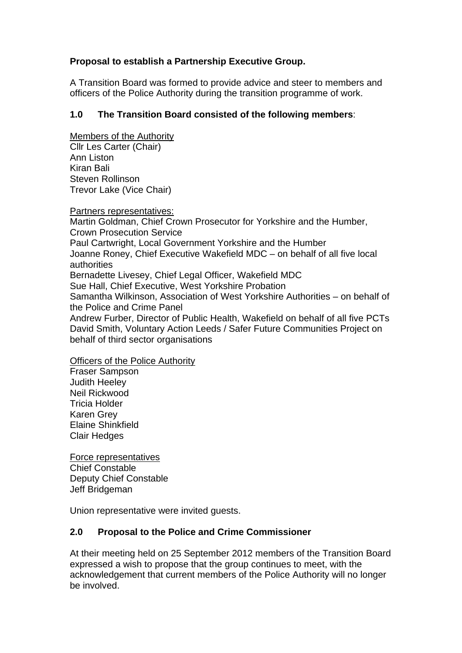## **Proposal to establish a Partnership Executive Group.**

A Transition Board was formed to provide advice and steer to members and officers of the Police Authority during the transition programme of work.

## **1.0 The Transition Board consisted of the following members**:

Members of the Authority Cllr Les Carter (Chair) Ann Liston Kiran Bali Steven Rollinson Trevor Lake (Vice Chair)

Partners representatives:

Martin Goldman, Chief Crown Prosecutor for Yorkshire and the Humber, Crown Prosecution Service Paul Cartwright, Local Government Yorkshire and the Humber Joanne Roney, Chief Executive Wakefield MDC – on behalf of all five local authorities Bernadette Livesey, Chief Legal Officer, Wakefield MDC Sue Hall, Chief Executive, West Yorkshire Probation Samantha Wilkinson, Association of West Yorkshire Authorities – on behalf of the Police and Crime Panel Andrew Furber, Director of Public Health, Wakefield on behalf of all five PCTs David Smith, Voluntary Action Leeds / Safer Future Communities Project on behalf of third sector organisations

Officers of the Police Authority

Fraser Sampson Judith Heeley Neil Rickwood Tricia Holder Karen Grey Elaine Shinkfield Clair Hedges

Force representatives Chief Constable Deputy Chief Constable Jeff Bridgeman

Union representative were invited guests.

## **2.0 Proposal to the Police and Crime Commissioner**

At their meeting held on 25 September 2012 members of the Transition Board expressed a wish to propose that the group continues to meet, with the acknowledgement that current members of the Police Authority will no longer be involved.